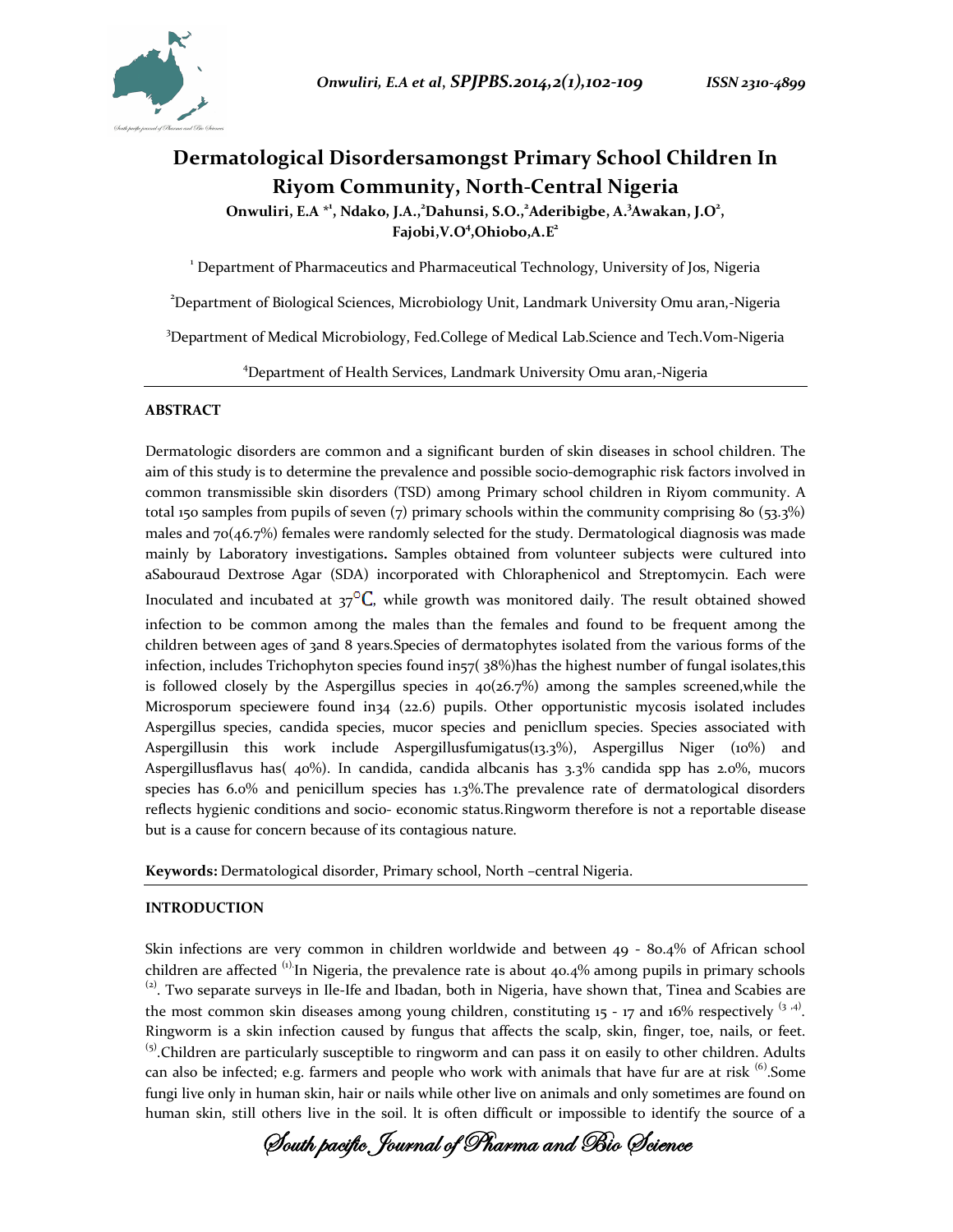



# **Dermatological Disordersamongst Primary School Children In Riyom Community, North-Central Nigeria**

**Onwuliri, E.A \*<sup>1</sup> , Ndako, J.A.,<sup>2</sup>Dahunsi, S.O.,<sup>2</sup> Aderibigbe, A.<sup>3</sup> Awakan, J.O<sup>2</sup> , Fajobi,V.O<sup>4</sup> ,Ohiobo,A.E<sup>2</sup>**

<sup>1</sup> Department of Pharmaceutics and Pharmaceutical Technology, University of Jos, Nigeria

<sup>2</sup>Department of Biological Sciences, Microbiology Unit, Landmark University Omu aran,-Nigeria

<sup>3</sup>Department of Medical Microbiology, Fed.College of Medical Lab.Science and Tech.Vom-Nigeria

<sup>4</sup>Department of Health Services, Landmark University Omu aran,-Nigeria

#### **ABSTRACT**

Dermatologic disorders are common and a significant burden of skin diseases in school children. The aim of this study is to determine the prevalence and possible socio-demographic risk factors involved in common transmissible skin disorders (TSD) among Primary school children in Riyom community. A total 150 samples from pupils of seven  $(7)$  primary schools within the community comprising 80 (53.3%) males and 70(46.7%) females were randomly selected for the study. Dermatological diagnosis was made mainly by Laboratory investigations**.** Samples obtained from volunteer subjects were cultured into aSabouraud Dextrose Agar (SDA) incorporated with Chloraphenicol and Streptomycin. Each were Inoculated and incubated at  $37^\circ\text{C}$ , while growth was monitored daily. The result obtained showed infection to be common among the males than the females and found to be frequent among the children between ages of 3and 8 years.Species of dermatophytes isolated from the various forms of the infection, includes Trichophyton species found in $\frac{7}{38\%}$  has the highest number of fungal isolates, this is followed closely by the Aspergillus species in  $40(26.7%)$  among the samples screened,while the Microsporum speciewere found in34 (22.6) pupils. Other opportunistic mycosis isolated includes Aspergillus species, candida species, mucor species and penicllum species. Species associated with Aspergillusin this work include Aspergillusfumigatus(13.3%), Aspergillus Niger (10%) and Aspergillusflavus has( 40%). In candida, candida albcanis has 3.3% candida spp has 2.0%, mucors species has 6.0% and penicillum species has 1.3%.The prevalence rate of dermatological disorders reflects hygienic conditions and socio- economic status.Ringworm therefore is not a reportable disease but is a cause for concern because of its contagious nature.

**Keywords:** Dermatological disorder, Primary school, North –central Nigeria.

## **INTRODUCTION**

Skin infections are very common in children worldwide and between 49 - 80.4% of African school children are affected  $^{(1)}$ In Nigeria, the prevalence rate is about 40.4% among pupils in primary schools  $^{(2)}$ . Two separate surveys in Ile-Ife and Ibadan, both in Nigeria, have shown that, Tinea and Scabies are the most common skin diseases among young children, constituting  $15 - 17$  and  $16\%$  respectively  $(3, 4)$ . Ringworm is a skin infection caused by fungus that affects the scalp, skin, finger, toe, nails, or feet.  $<sup>(5)</sup>$ .Children are particularly susceptible to ringworm and can pass it on easily to other children. Adults</sup> can also be infected; e.g. farmers and people who work with animals that have fur are at risk  $^{(6)}$ . Some fungi live only in human skin, hair or nails while other live on animals and only sometimes are found on human skin, still others live in the soil. lt is often difficult or impossible to identify the source of a

**South pacific Journal of Pharma and Bio Science**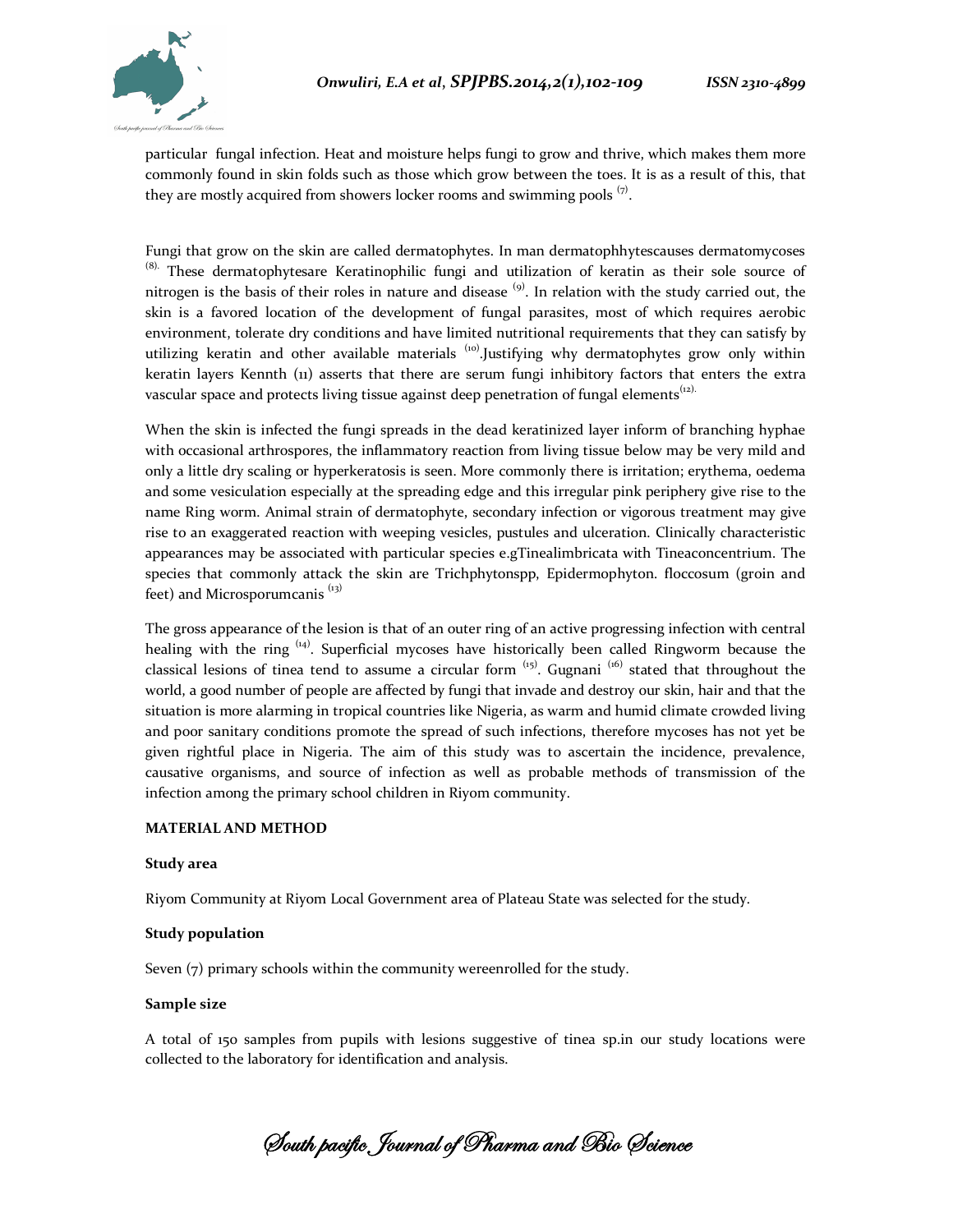

particular fungal infection. Heat and moisture helps fungi to grow and thrive, which makes them more commonly found in skin folds such as those which grow between the toes. It is as a result of this, that they are mostly acquired from showers locker rooms and swimming pools  $\overline{z}$ .

Fungi that grow on the skin are called dermatophytes. In man dermatophhytescauses dermatomycoses <sup>(8).</sup> These dermatophytesare Keratinophilic fungi and utilization of keratin as their sole source of nitrogen is the basis of their roles in nature and disease  $^{(9)}$ . In relation with the study carried out, the skin is a favored location of the development of fungal parasites, most of which requires aerobic environment, tolerate dry conditions and have limited nutritional requirements that they can satisfy by utilizing keratin and other available materials  $\binom{10}{1}$ . Justifying why dermatophytes grow only within keratin layers Kennth (11) asserts that there are serum fungi inhibitory factors that enters the extra vascular space and protects living tissue against deep penetration of fungal elements<sup> $(i2)$ </sup>.

When the skin is infected the fungi spreads in the dead keratinized layer inform of branching hyphae with occasional arthrospores, the inflammatory reaction from living tissue below may be very mild and only a little dry scaling or hyperkeratosis is seen. More commonly there is irritation; erythema, oedema and some vesiculation especially at the spreading edge and this irregular pink periphery give rise to the name Ring worm. Animal strain of dermatophyte, secondary infection or vigorous treatment may give rise to an exaggerated reaction with weeping vesicles, pustules and ulceration. Clinically characteristic appearances may be associated with particular species e.gTinealimbricata with Tineaconcentrium. The species that commonly attack the skin are Trichphytonspp, Epidermophyton. floccosum (groin and feet) and Microsporumcanis<sup>(13)</sup>

The gross appearance of the lesion is that of an outer ring of an active progressing infection with central healing with the ring  $(14)$ . Superficial mycoses have historically been called Ringworm because the classical lesions of tinea tend to assume a circular form  $(15)$ . Gugnani  $(16)$  stated that throughout the world, a good number of people are affected by fungi that invade and destroy our skin, hair and that the situation is more alarming in tropical countries like Nigeria, as warm and humid climate crowded living and poor sanitary conditions promote the spread of such infections, therefore mycoses has not yet be given rightful place in Nigeria. The aim of this study was to ascertain the incidence, prevalence, causative organisms, and source of infection as well as probable methods of transmission of the infection among the primary school children in Riyom community.

#### **MATERIAL AND METHOD**

#### **Study area**

Riyom Community at Riyom Local Government area of Plateau State was selected for the study.

#### **Study population**

Seven (7) primary schools within the community wereenrolled for the study.

#### **Sample size**

A total of 150 samples from pupils with lesions suggestive of tinea sp.in our study locations were collected to the laboratory for identification and analysis.

**South pacific Journal of Pharma and Bio Science**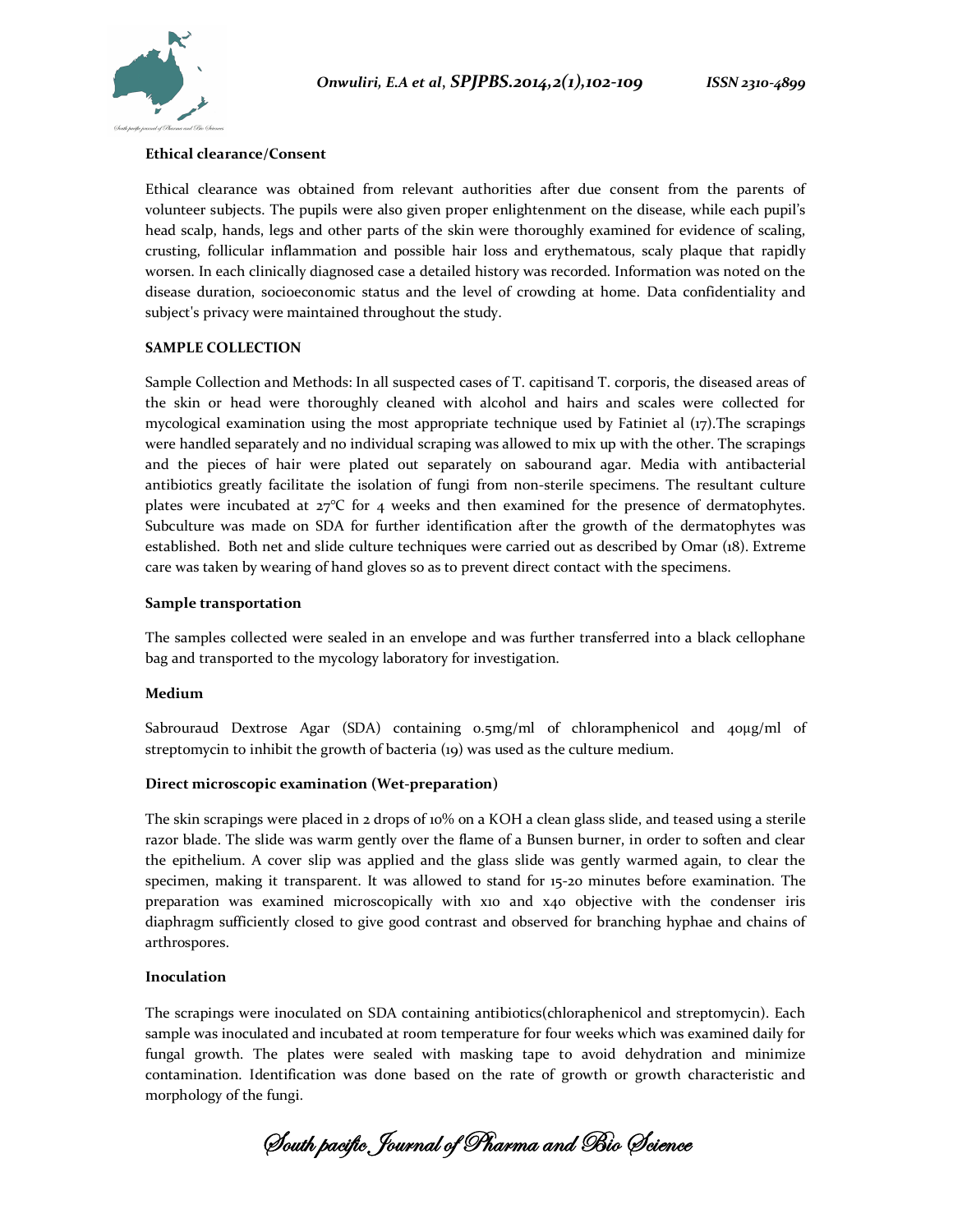

#### **Ethical clearance/Consent**

Ethical clearance was obtained from relevant authorities after due consent from the parents of volunteer subjects. The pupils were also given proper enlightenment on the disease, while each pupil's head scalp, hands, legs and other parts of the skin were thoroughly examined for evidence of scaling, crusting, follicular inflammation and possible hair loss and erythematous, scaly plaque that rapidly worsen. In each clinically diagnosed case a detailed history was recorded. Information was noted on the disease duration, socioeconomic status and the level of crowding at home. Data confidentiality and subject's privacy were maintained throughout the study.

#### **SAMPLE COLLECTION**

Sample Collection and Methods: In all suspected cases of T. capitisand T. corporis, the diseased areas of the skin or head were thoroughly cleaned with alcohol and hairs and scales were collected for mycological examination using the most appropriate technique used by Fatiniet al (17).The scrapings were handled separately and no individual scraping was allowed to mix up with the other. The scrapings and the pieces of hair were plated out separately on sabourand agar. Media with antibacterial antibiotics greatly facilitate the isolation of fungi from non-sterile specimens. The resultant culture plates were incubated at  $27^{\circ}$ C for 4 weeks and then examined for the presence of dermatophytes. Subculture was made on SDA for further identification after the growth of the dermatophytes was established. Both net and slide culture techniques were carried out as described by Omar (18). Extreme care was taken by wearing of hand gloves so as to prevent direct contact with the specimens.

#### **Sample transportation**

The samples collected were sealed in an envelope and was further transferred into a black cellophane bag and transported to the mycology laboratory for investigation.

#### **Medium**

Sabrouraud Dextrose Agar (SDA) containing 0.5mg/ml of chloramphenicol and 40μg/ml of streptomycin to inhibit the growth of bacteria (19) was used as the culture medium.

#### **Direct microscopic examination (Wet-preparation)**

The skin scrapings were placed in 2 drops of 10% on a KOH a clean glass slide, and teased using a sterile razor blade. The slide was warm gently over the flame of a Bunsen burner, in order to soften and clear the epithelium. A cover slip was applied and the glass slide was gently warmed again, to clear the specimen, making it transparent. It was allowed to stand for 15-20 minutes before examination. The preparation was examined microscopically with x10 and x40 objective with the condenser iris diaphragm sufficiently closed to give good contrast and observed for branching hyphae and chains of arthrospores.

#### **Inoculation**

The scrapings were inoculated on SDA containing antibiotics(chloraphenicol and streptomycin). Each sample was inoculated and incubated at room temperature for four weeks which was examined daily for fungal growth. The plates were sealed with masking tape to avoid dehydration and minimize contamination. Identification was done based on the rate of growth or growth characteristic and morphology of the fungi.

**South pacific Journal of Pharma and Bio Science**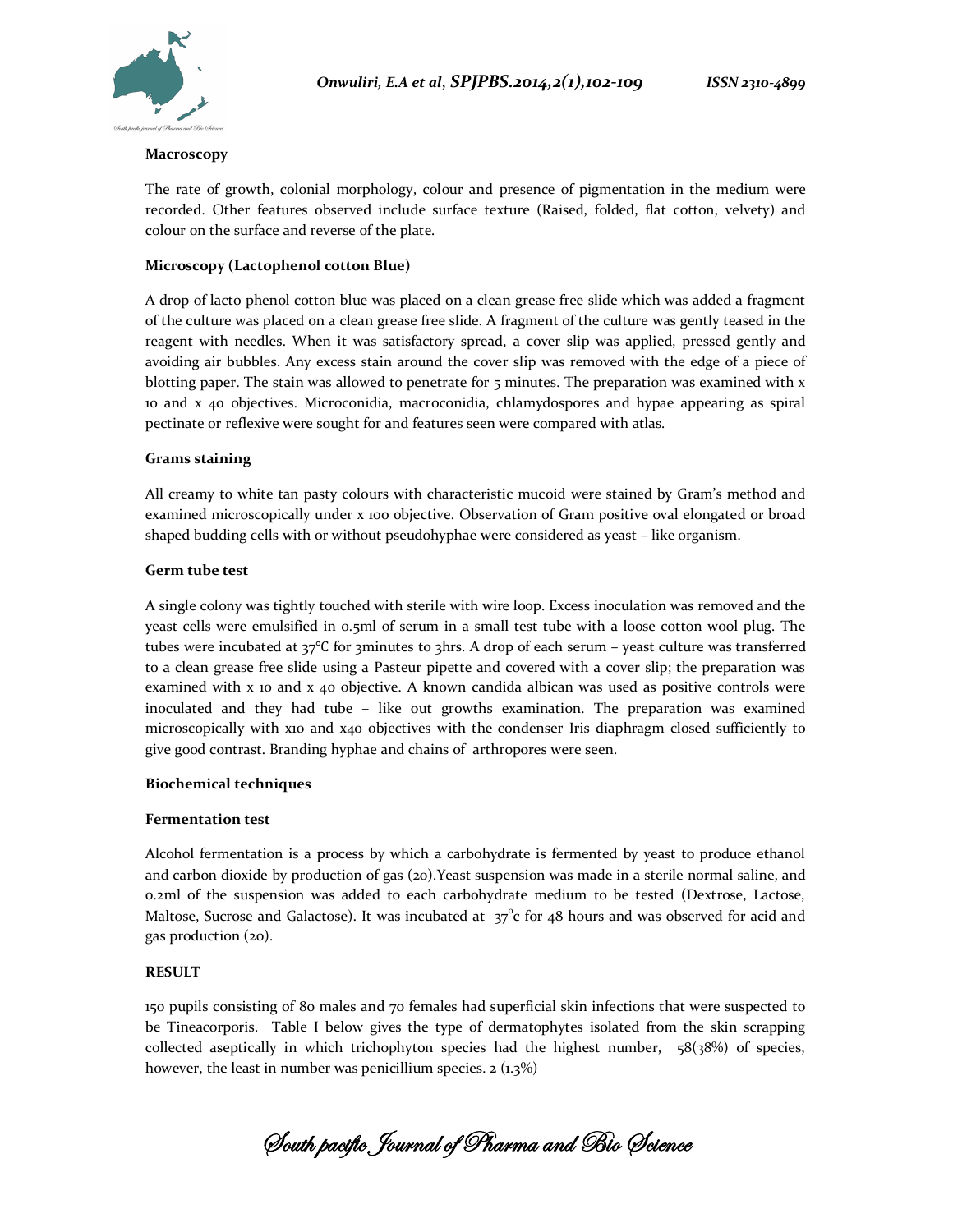

#### **Macroscopy**

The rate of growth, colonial morphology, colour and presence of pigmentation in the medium were recorded. Other features observed include surface texture (Raised, folded, flat cotton, velvety) and colour on the surface and reverse of the plate.

## **Microscopy (Lactophenol cotton Blue)**

A drop of lacto phenol cotton blue was placed on a clean grease free slide which was added a fragment of the culture was placed on a clean grease free slide. A fragment of the culture was gently teased in the reagent with needles. When it was satisfactory spread, a cover slip was applied, pressed gently and avoiding air bubbles. Any excess stain around the cover slip was removed with the edge of a piece of blotting paper. The stain was allowed to penetrate for 5 minutes. The preparation was examined with x 10 and x 40 objectives. Microconidia, macroconidia, chlamydospores and hypae appearing as spiral pectinate or reflexive were sought for and features seen were compared with atlas.

## **Grams staining**

All creamy to white tan pasty colours with characteristic mucoid were stained by Gram's method and examined microscopically under x 100 objective. Observation of Gram positive oval elongated or broad shaped budding cells with or without pseudohyphae were considered as yeast – like organism.

#### **Germ tube test**

A single colony was tightly touched with sterile with wire loop. Excess inoculation was removed and the yeast cells were emulsified in 0.5ml of serum in a small test tube with a loose cotton wool plug. The tubes were incubated at 37℃ for 3minutes to 3hrs. A drop of each serum – yeast culture was transferred to a clean grease free slide using a Pasteur pipette and covered with a cover slip; the preparation was examined with x 10 and x 40 objective. A known candida albican was used as positive controls were inoculated and they had tube – like out growths examination. The preparation was examined microscopically with x10 and x40 objectives with the condenser Iris diaphragm closed sufficiently to give good contrast. Branding hyphae and chains of arthropores were seen.

## **Biochemical techniques**

#### **Fermentation test**

Alcohol fermentation is a process by which a carbohydrate is fermented by yeast to produce ethanol and carbon dioxide by production of gas (20).Yeast suspension was made in a sterile normal saline, and 0.2ml of the suspension was added to each carbohydrate medium to be tested (Dextrose, Lactose, Maltose, Sucrose and Galactose). It was incubated at  $37^{\circ}$ c for 48 hours and was observed for acid and gas production (20).

## **RESULT**

150 pupils consisting of 80 males and 70 females had superficial skin infections that were suspected to be Tineacorporis. Table I below gives the type of dermatophytes isolated from the skin scrapping collected aseptically in which trichophyton species had the highest number, 58(38%) of species, however, the least in number was penicillium species.  $2 \left(1.3\% \right)$ 

**South pacific Journal of Pharma and Bio Science**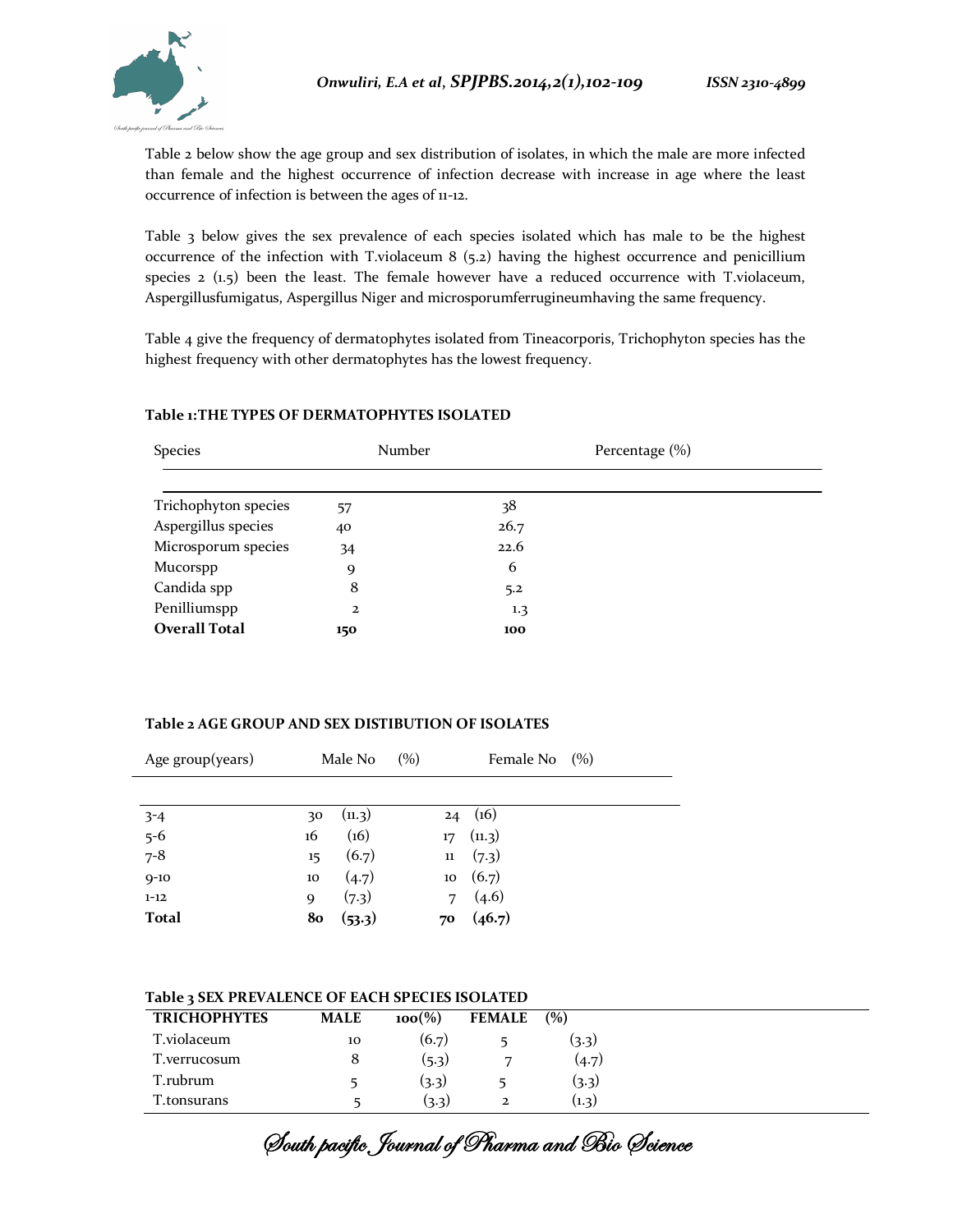Table 2 below show the age group and sex distribution of isolates, in which the male are more infected than female and the highest occurrence of infection decrease with increase in age where the least occurrence of infection is between the ages of 11-12.

Table 3 below gives the sex prevalence of each species isolated which has male to be the highest occurrence of the infection with T.violaceum 8 (5.2) having the highest occurrence and penicillium species  $2$  (1.5) been the least. The female however have a reduced occurrence with T.violaceum, Aspergillusfumigatus, Aspergillus Niger and microsporumferrugineumhaving the same frequency.

Table 4 give the frequency of dermatophytes isolated from Tineacorporis, Trichophyton species has the highest frequency with other dermatophytes has the lowest frequency.

| Species              | Number         | Percentage (%)   |  |
|----------------------|----------------|------------------|--|
|                      |                |                  |  |
| Trichophyton species | 57             | 38               |  |
| Aspergillus species  | 40             | 26.7             |  |
| Microsporum species  | 34             | 22.6             |  |
| <b>Mucorspp</b>      | 9              | 6                |  |
| Candida spp          | 8              | 5.2              |  |
| Penilliumspp         | $\overline{2}$ | $1.3\phantom{0}$ |  |
| <b>Overall Total</b> | 150            | 100              |  |

## **Table 1:THE TYPES OF DERMATOPHYTES ISOLATED**

## **Table 2 AGE GROUP AND SEX DISTIBUTION OF ISOLATES**

| Age group(years)        |    | Male No | (%) |                  | Female No $(\%)$ |  |
|-------------------------|----|---------|-----|------------------|------------------|--|
|                         |    |         |     |                  |                  |  |
|                         | 30 | (11.3)  |     | 24               | (16)             |  |
|                         | 16 | (16)    |     | 17 <sup>17</sup> | (n.3)            |  |
| $3-4$<br>$5-6$<br>$7-8$ | 15 | (6.7)   |     | $11\,$           | (7.3)            |  |
| $9 - 10$                | 10 | (4.7)   |     | 10               | (6.7)            |  |
| $1 - 12$                | 9  | (7.3)   |     | 7                | (4.6)            |  |
| <b>Total</b>            | 80 | (53.3)  |     | 70               | (46.7)           |  |

## **Table 3 SEX PREVALENCE OF EACH SPECIES ISOLATED**

| <b>TRICHOPHYTES</b> | <b>MALE</b> | $100\%$ | <b>FEMALE</b> | (%)   |
|---------------------|-------------|---------|---------------|-------|
| T.violaceum         | 10          | (6.7)   |               | (3.3) |
| T.verrucosum        | 8           | (5.3)   | ⇁             | (4.7) |
| T.rubrum            |             | (3.3)   |               | (3.3) |
| T.tonsurans         |             | (3.3)   | 2             | (1.3) |

**South pacific Journal of Pharma and Bio Science**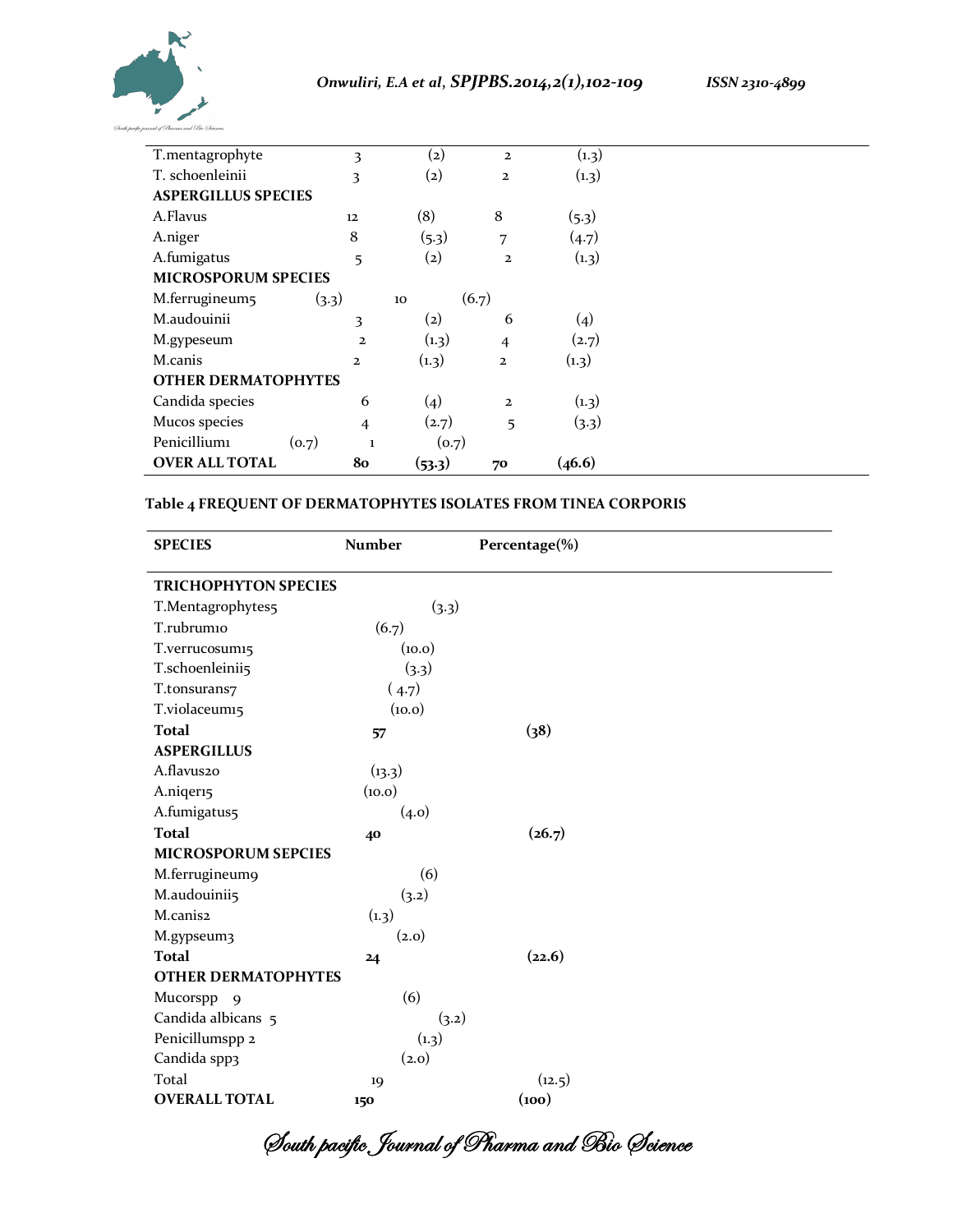



| T.mentagrophyte            | 3                     | $\left( 2\right)$ | $\mathbf{z}$   | (1.3)  |  |
|----------------------------|-----------------------|-------------------|----------------|--------|--|
| T. schoenleinii            | 3                     | $\left( 2\right)$ | $\mathbf{2}$   | (1.3)  |  |
| <b>ASPERGILLUS SPECIES</b> |                       |                   |                |        |  |
| A.Flavus                   | 12                    | (8)               | 8              | (5.3)  |  |
| A.niger                    | 8                     | (5.3)             | 7              | (4.7)  |  |
| A.fumigatus                | 5                     | (2)               | $\overline{a}$ | (1.3)  |  |
| <b>MICROSPORUM SPECIES</b> |                       |                   |                |        |  |
| M.ferrugineum5             | (3.3)                 | 10                | (6.7)          |        |  |
| M.audouinii                | 3                     | $\left( 2\right)$ | 6              | (4)    |  |
| M.gypeseum                 | $\overline{a}$        | (1.3)             | $\overline{4}$ | (2.7)  |  |
| M.canis                    | $\mathbf{2}$          | (1.3)             | $\mathbf{2}$   | (1.3)  |  |
| <b>OTHER DERMATOPHYTES</b> |                       |                   |                |        |  |
| Candida species            | 6                     | (4)               | $\mathbf{z}$   | (1.3)  |  |
| Mucos species              | $\overline{4}$        | (2.7)             | 5              | (3.3)  |  |
| Penicilliumi               | (o.7)<br>$\mathbf{1}$ | (o.7)             |                |        |  |
| <b>OVER ALL TOTAL</b>      | 80                    | (53.3)            | 70             | (46.6) |  |

## **Table 4 FREQUENT OF DERMATOPHYTES ISOLATES FROM TINEA CORPORIS**

| <b>SPECIES</b>              | <b>Number</b> | Percentage(%) |  |
|-----------------------------|---------------|---------------|--|
| <b>TRICHOPHYTON SPECIES</b> |               |               |  |
| T.Mentagrophytes5           | (3.3)         |               |  |
| T.rubrum10                  | (6.7)         |               |  |
| T.verrucosum15              | (10.0)        |               |  |
| T.schoenleinii5             | (3.3)         |               |  |
| T.tonsurans7                | (4.7)         |               |  |
| T.violaceum15               | (10.0)        |               |  |
| <b>Total</b>                | 57            | (38)          |  |
| <b>ASPERGILLUS</b>          |               |               |  |
| A.flavus20                  | (13.3)        |               |  |
| A.niqer15                   | (10.0)        |               |  |
| A.fumigatus5                | (4.0)         |               |  |
| <b>Total</b>                | 40            | (26.7)        |  |
| <b>MICROSPORUM SEPCIES</b>  |               |               |  |
| M.ferrugineum9              | (6)           |               |  |
| M.audouinii5                | (3.2)         |               |  |
| M.canis2                    | (1.3)         |               |  |
| M.gypseum3                  | (2.0)         |               |  |
| <b>Total</b>                | 24            | (22.6)        |  |
| <b>OTHER DERMATOPHYTES</b>  |               |               |  |
| Mucorspp 9                  | (6)           |               |  |
| Candida albicans 5          | (3.2)         |               |  |
| Penicillumspp 2             | (1.3)         |               |  |
| Candida spp3                | (2.0)         |               |  |
| Total                       | 19            | (12.5)        |  |
| <b>OVERALL TOTAL</b>        | 150           | (100)         |  |

**South pacific Journal of Pharma and Bio Science**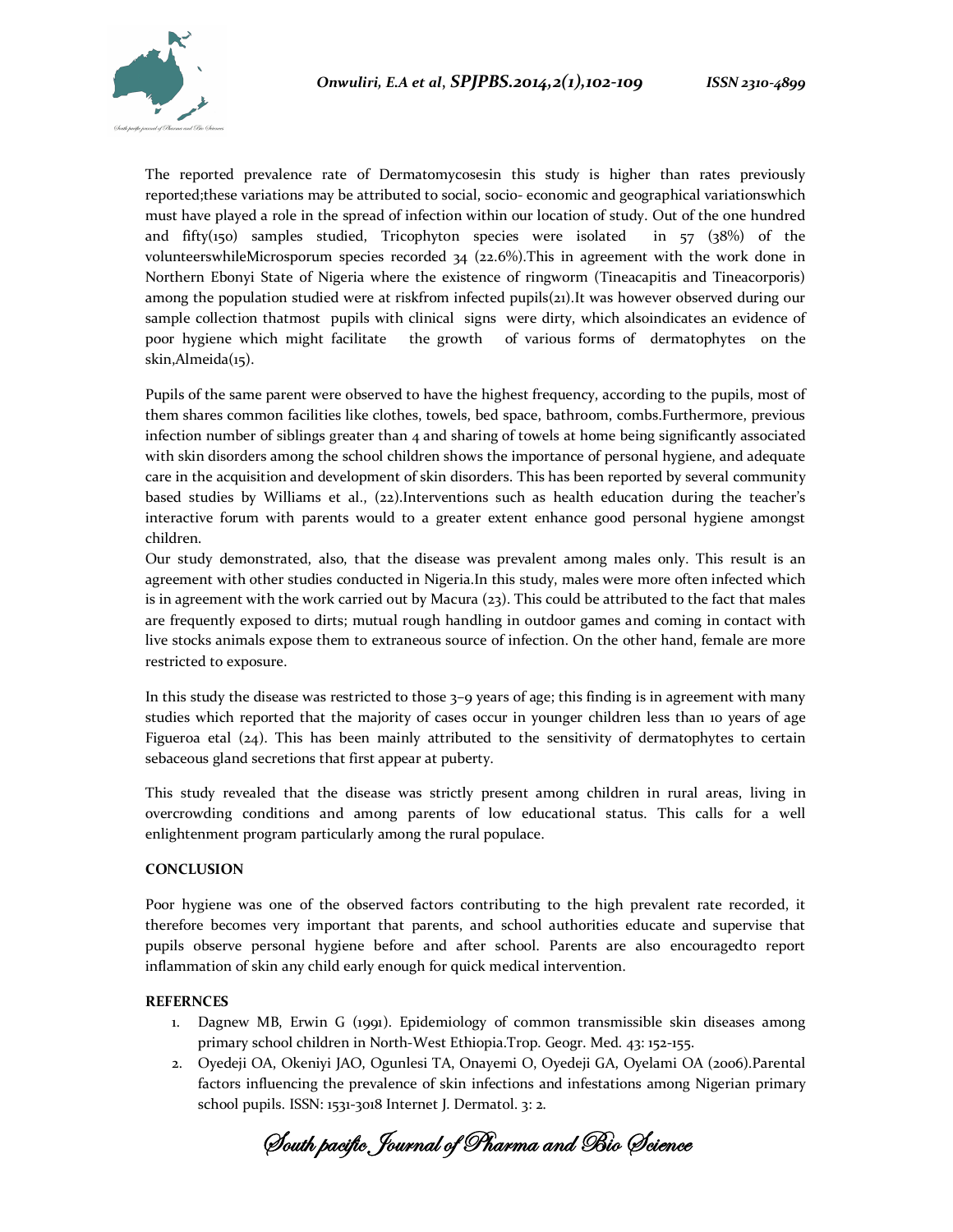

The reported prevalence rate of Dermatomycosesin this study is higher than rates previously reported;these variations may be attributed to social, socio- economic and geographical variationswhich must have played a role in the spread of infection within our location of study. Out of the one hundred and fifty(150) samples studied, Tricophyton species were isolated in  $57 \text{ (38%)}$  of the volunteerswhileMicrosporum species recorded  $34$  (22.6%). This in agreement with the work done in Northern Ebonyi State of Nigeria where the existence of ringworm (Tineacapitis and Tineacorporis) among the population studied were at riskfrom infected pupils(21). It was however observed during our sample collection thatmost pupils with clinical signs were dirty, which alsoindicates an evidence of poor hygiene which might facilitate the growth of various forms of dermatophytes on the skin,Almeida(15).

Pupils of the same parent were observed to have the highest frequency, according to the pupils, most of them shares common facilities like clothes, towels, bed space, bathroom, combs.Furthermore, previous infection number of siblings greater than  $4$  and sharing of towels at home being significantly associated with skin disorders among the school children shows the importance of personal hygiene, and adequate care in the acquisition and development of skin disorders. This has been reported by several community based studies by Williams et al., (22).Interventions such as health education during the teacher's interactive forum with parents would to a greater extent enhance good personal hygiene amongst children.

Our study demonstrated, also, that the disease was prevalent among males only. This result is an agreement with other studies conducted in Nigeria.In this study, males were more often infected which is in agreement with the work carried out by Macura  $(23)$ . This could be attributed to the fact that males are frequently exposed to dirts; mutual rough handling in outdoor games and coming in contact with live stocks animals expose them to extraneous source of infection. On the other hand, female are more restricted to exposure.

In this study the disease was restricted to those  $3-9$  years of age; this finding is in agreement with many studies which reported that the majority of cases occur in younger children less than 10 years of age Figueroa etal  $(24)$ . This has been mainly attributed to the sensitivity of dermatophytes to certain sebaceous gland secretions that first appear at puberty.

This study revealed that the disease was strictly present among children in rural areas, living in overcrowding conditions and among parents of low educational status. This calls for a well enlightenment program particularly among the rural populace.

#### **CONCLUSION**

Poor hygiene was one of the observed factors contributing to the high prevalent rate recorded, it therefore becomes very important that parents, and school authorities educate and supervise that pupils observe personal hygiene before and after school. Parents are also encouragedto report inflammation of skin any child early enough for quick medical intervention.

#### **REFERNCES**

- 1. Dagnew MB, Erwin G (1991). Epidemiology of common transmissible skin diseases among primary school children in North-West Ethiopia.Trop. Geogr. Med. 43: 152-155.
- 2. Oyedeji OA, Okeniyi JAO, Ogunlesi TA, Onayemi O, Oyedeji GA, Oyelami OA (2006).Parental factors influencing the prevalence of skin infections and infestations among Nigerian primary school pupils. ISSN: 1531-3018 Internet J. Dermatol. 3: 2.

**South pacific Journal of Pharma and Bio Science**